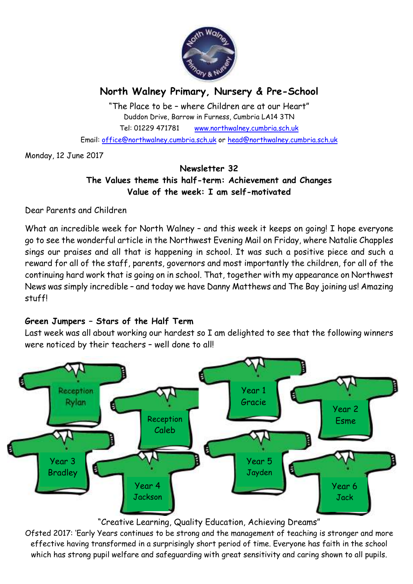

# **North Walney Primary, Nursery & Pre-School**

"The Place to be – where Children are at our Heart" Duddon Drive, Barrow in Furness, Cumbria LA14 3TN Tel: 01229 471781 www.northwalney.cumbria.sch.uk Email: office@northwalney.cumbria.sch.uk or head@northwalney.cumbria.sch.uk

Monday, 12 June 2017

# **Newsletter 32 The Values theme this half-term: Achievement and Changes Value of the week: I am self-motivated**

Dear Parents and Children

What an incredible week for North Walney – and this week it keeps on going! I hope everyone go to see the wonderful article in the Northwest Evening Mail on Friday, where Natalie Chapples sings our praises and all that is happening in school. It was such a positive piece and such a reward for all of the staff, parents, governors and most importantly the children, for all of the continuing hard work that is going on in school. That, together with my appearance on Northwest News was simply incredible – and today we have Danny Matthews and The Bay joining us! Amazing stuff!

# **Green Jumpers – Stars of the Half Term**

Last week was all about working our hardest so I am delighted to see that the following winners were noticed by their teachers – well done to all!



# "Creative Learning, Quality Education, Achieving Dreams"

Ofsted 2017: 'Early Years continues to be strong and the management of teaching is stronger and more effective having transformed in a surprisingly short period of time. Everyone has faith in the school which has strong pupil welfare and safeguarding with great sensitivity and caring shown to all pupils.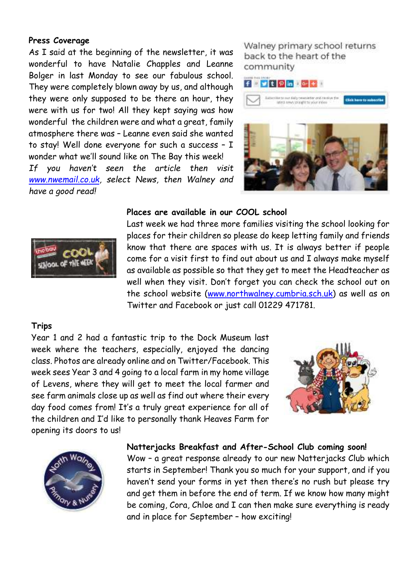#### **Press Coverage**

As I said at the beginning of the newsletter, it was wonderful to have Natalie Chapples and Leanne Bolger in last Monday to see our fabulous school. They were completely blown away by us, and although they were only supposed to be there an hour, they were with us for two! All they kept saying was how wonderful the children were and what a great, family atmosphere there was – Leanne even said she wanted to stay! Well done everyone for such a success - I wonder what we'll sound like on The Bay this week! *If you haven't seen the article then visit www.nwemail.co.uk, select News, then Walney and have a good read!* 

Walney primary school returns back to the heart of the community



#### **Places are available in our COOL school**



Last week we had three more families visiting the school looking for places for their children so please do keep letting family and friends know that there are spaces with us. It is always better if people come for a visit first to find out about us and I always make myself as available as possible so that they get to meet the Headteacher as well when they visit. Don't forget you can check the school out on the school website (www.northwalney.cumbria.sch.uk) as well as on Twitter and Facebook or just call 01229 471781.

## **Trips**

Year 1 and 2 had a fantastic trip to the Dock Museum last week where the teachers, especially, enjoyed the dancing class. Photos are already online and on Twitter/Facebook. This week sees Year 3 and 4 going to a local farm in my home village of Levens, where they will get to meet the local farmer and see farm animals close up as well as find out where their every day food comes from! It's a truly great experience for all of the children and I'd like to personally thank Heaves Farm for opening its doors to us!





#### **Natterjacks Breakfast and After-School Club coming soon!**

Wow – a great response already to our new Natterjacks Club which starts in September! Thank you so much for your support, and if you haven't send your forms in yet then there's no rush but please try and get them in before the end of term. If we know how many might be coming, Cora, Chloe and I can then make sure everything is ready and in place for September – how exciting!